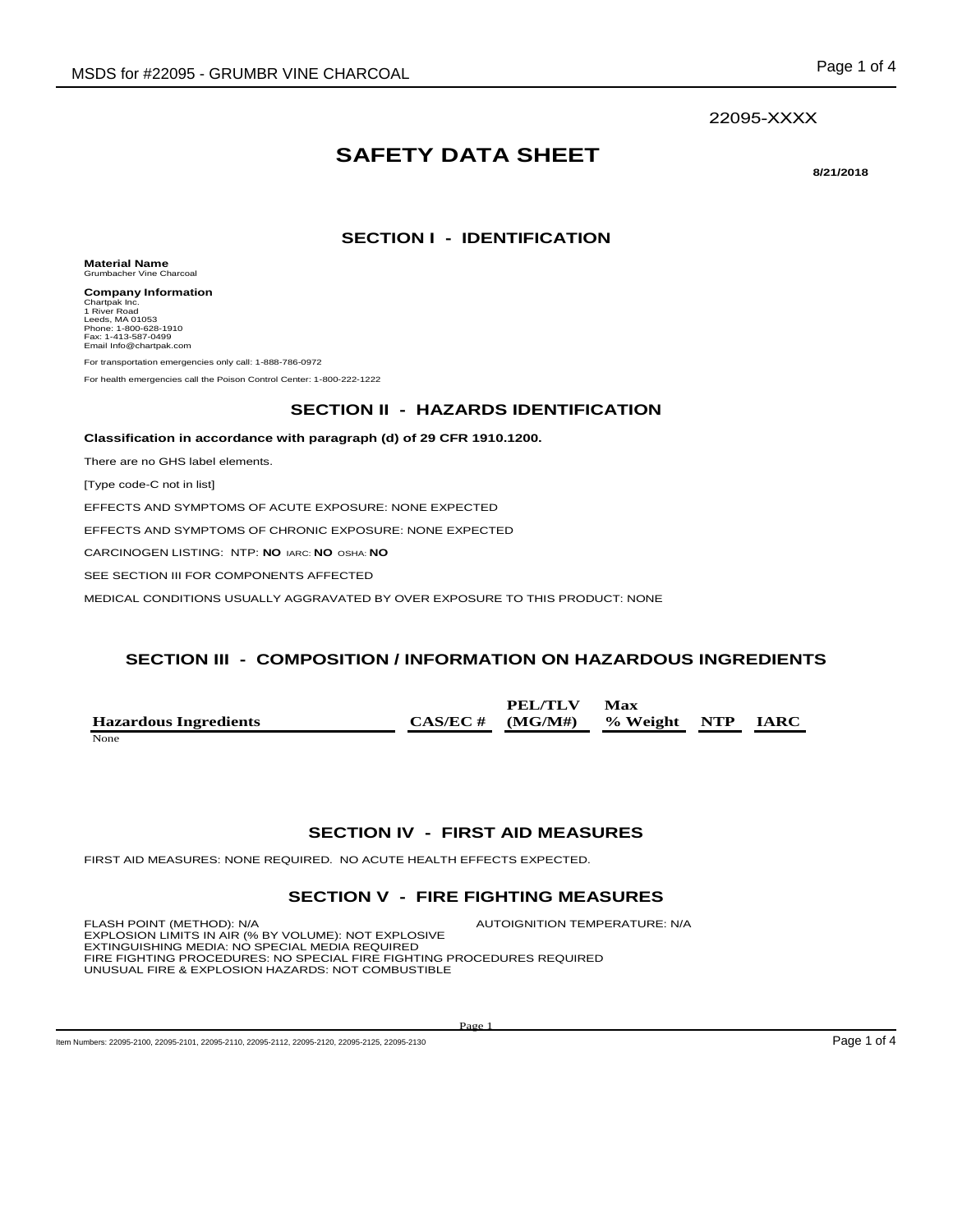#### 22095-XXXX

# **SAFETY DATA SHEET**

**8/21/2018**

### **SECTION I - IDENTIFICATION**

**Material Name** Grumbacher Vine Charcoal

**Company Information** Chartpak Inc. 1 River Road Leeds, MA 01053 Phone: 1-800-628-1910 Fax: 1-413-587-0499 Email Info@chartpak.com

For transportation emergencies only call: 1-888-786-0972

For health emergencies call the Poison Control Center: 1-800-222-1222

#### **SECTION II - HAZARDS IDENTIFICATION**

**Classification in accordance with paragraph (d) of 29 CFR 1910.1200.**

There are no GHS label elements.

[Type code-C not in list]

EFFECTS AND SYMPTOMS OF ACUTE EXPOSURE: NONE EXPECTED

EFFECTS AND SYMPTOMS OF CHRONIC EXPOSURE: NONE EXPECTED

CARCINOGEN LISTING: NTP: **NO** IARC: **NO** OSHA: **NO**

SEE SECTION III FOR COMPONENTS AFFECTED

MEDICAL CONDITIONS USUALLY AGGRAVATED BY OVER EXPOSURE TO THIS PRODUCT: NONE

#### **SECTION III - COMPOSITION / INFORMATION ON HAZARDOUS INGREDIENTS**

**Hazardous Ingredients CAS/EC # PEL/TLV (MG/M#) Max % Weight NTP IARC** None and the set of the set of the set of the set of the set of the set of the set of the set of the set of the set of the set of the set of the set of the set of the set of the set of the set of the set of the set of the

#### **SECTION IV - FIRST AID MEASURES**

FIRST AID MEASURES: NONE REQUIRED. NO ACUTE HEALTH EFFECTS EXPECTED.

#### **SECTION V - FIRE FIGHTING MEASURES**

FLASH POINT (METHOD): N/A **AUTOIGNITION TEMPERATURE: N/A** EXPLOSION LIMITS IN AIR (% BY VOLUME): NOT EXPLOSIVE EXTINGUISHING MEDIA: NO SPECIAL MEDIA REQUIRED<br>FIRE FIGHTING PROCEDURES: NO SPECIAL FIRE FIGHTING PROCEDURES REQUIRED<br>UNUSUAL FIRE & EXPLOSION HAZARDS: NOT COMBUSTIBLE

Page 1

Item Numbers: 22095-2100, 22095-2101, 22095-2110, 22095-2112, 22095-2120, 22095-2125, 22095-2130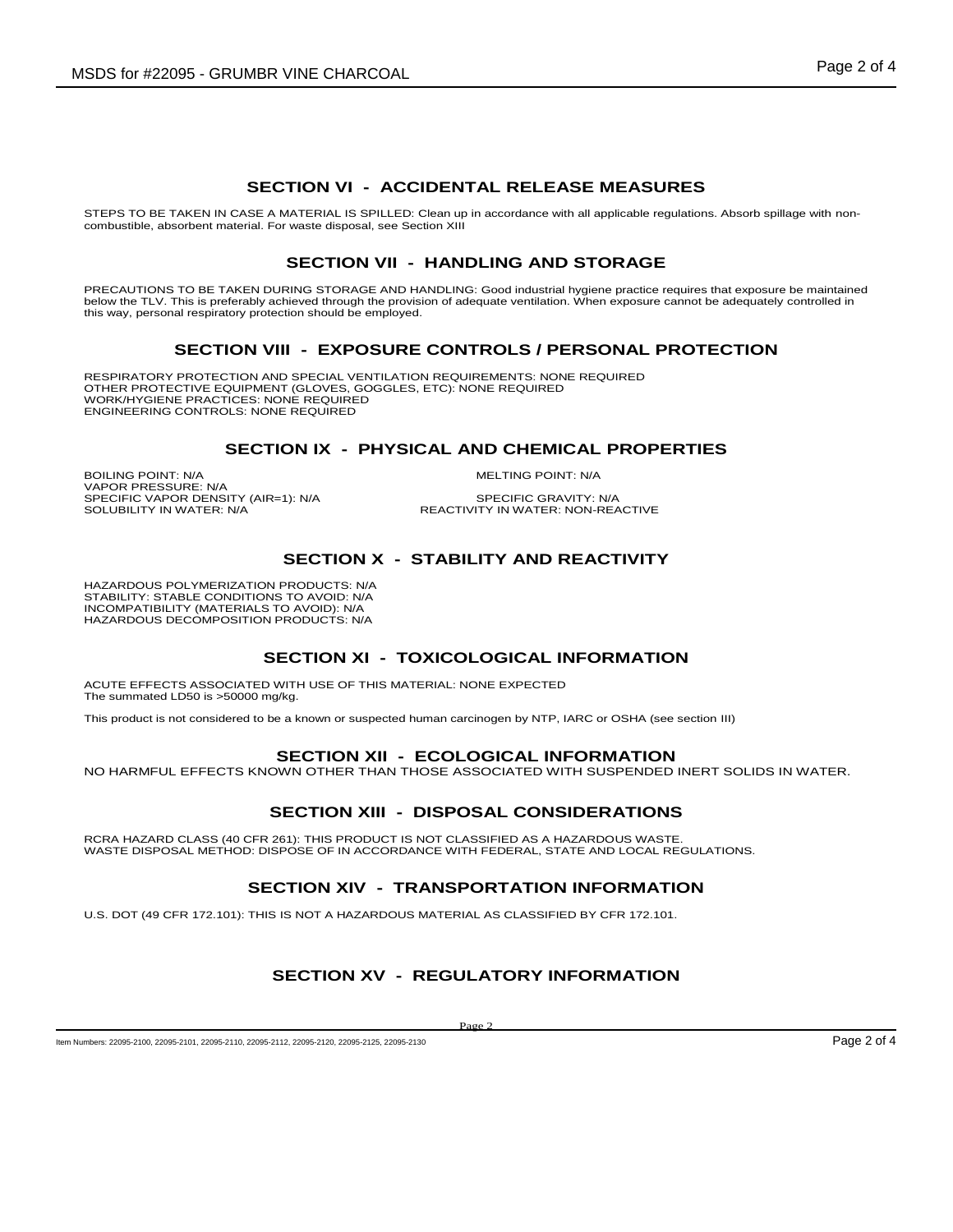#### **SECTION VI - ACCIDENTAL RELEASE MEASURES**

STEPS TO BE TAKEN IN CASE A MATERIAL IS SPILLED: Clean up in accordance with all applicable regulations. Absorb spillage with non-<br>combustible, absorbent material. For waste disposal, see Section XIII

#### **SECTION VII - HANDLING AND STORAGE**

PRECAUTIONS TO BE TAKEN DURING STORAGE AND HANDLING: Good industrial hygiene practice requires that exposure be maintained<br>below the TLV. This is preferably achieved through the provision of adequate ventilation. When expo this way, personal respiratory protection should be employed.

#### **SECTION VIII - EXPOSURE CONTROLS / PERSONAL PROTECTION**

RESPIRATORY PROTECTION AND SPECIAL VENTILATION REQUIREMENTS: NONE REQUIRED OTHER PROTECTIVE EQUIPMENT (GLOVES, GOGGLES, ETC): NONE REQUIRED WORK/HYGIENE PRACTICES: NONE REQUIRED ENGINEERING CONTROLS: NONE REQUIRED

#### **SECTION IX - PHYSICAL AND CHEMICAL PROPERTIES**

BOILING POINT: N/A MELTING POINT: N/A VAPOR PRESSURE: N/A SPECIFIC VAPOR DENSITY (AIR=1): N/A<br>SOLUBILITY IN WATER: N/A

SPECIFIC GRAVITY: N/A<br>REACTIVITY IN WATER: NON-REACTIVE

#### **SECTION X - STABILITY AND REACTIVITY**

HAZARDOUS POLYMERIZATION PRODUCTS: N/A STABILITY: STABLE CONDITIONS TO AVOID: N/A INCOMPATIBILITY (MATERIALS TO AVOID): N/A HAZARDOUS DECOMPOSITION PRODUCTS: N/A

#### **SECTION XI - TOXICOLOGICAL INFORMATION**

ACUTE EFFECTS ASSOCIATED WITH USE OF THIS MATERIAL: NONE EXPECTED The summated LD50 is >50000 mg/kg.

This product is not considered to be a known or suspected human carcinogen by NTP, IARC or OSHA (see section III)

#### **SECTION XII - ECOLOGICAL INFORMATION**

NO HARMFUL EFFECTS KNOWN OTHER THAN THOSE ASSOCIATED WITH SUSPENDED INERT SOLIDS IN WATER.

#### **SECTION XIII - DISPOSAL CONSIDERATIONS**

RCRA HAZARD CLASS (40 CFR 261): THIS PRODUCT IS NOT CLASSIFIED AS A HAZARDOUS WASTE.<br>WASTE DISPOSAL METHOD: DISPOSE OF IN ACCORDANCE WITH FEDERAL, STATE AND LOCAL REGULATIONS.

#### **SECTION XIV - TRANSPORTATION INFORMATION**

U.S. DOT (49 CFR 172.101): THIS IS NOT A HAZARDOUS MATERIAL AS CLASSIFIED BY CFR 172.101.

### **SECTION XV - REGULATORY INFORMATION**

Page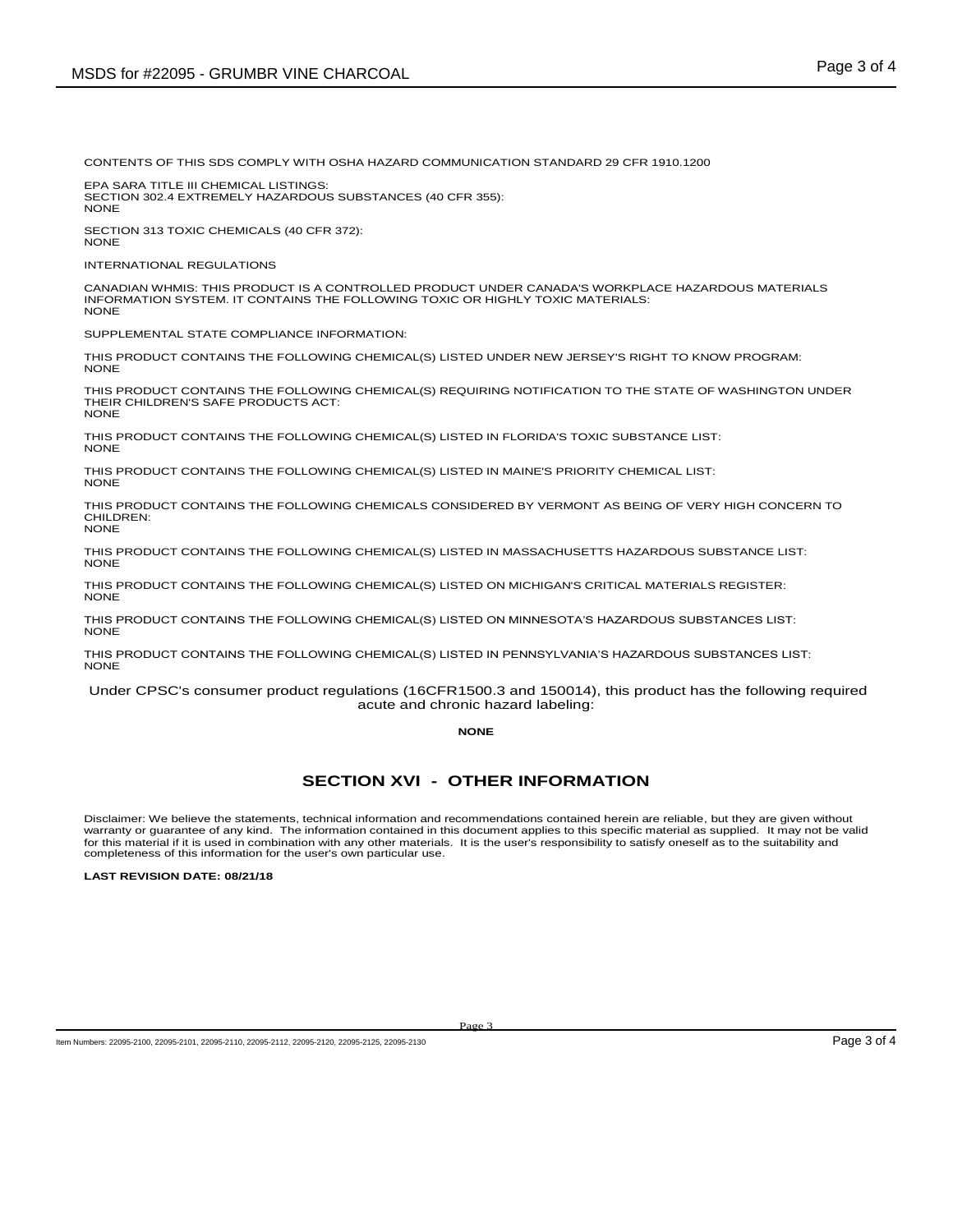CONTENTS OF THIS SDS COMPLY WITH OSHA HAZARD COMMUNICATION STANDARD 29 CFR 1910.1200

EPA SARA TITLE III CHEMICAL LISTINGS: SECTION 302.4 EXTREMELY HAZARDOUS SUBSTANCES (40 CFR 355): NONE

SECTION 313 TOXIC CHEMICALS (40 CFR 372): NONE

INTERNATIONAL REGULATIONS

CANADIAN WHMIS: THIS PRODUCT IS A CONTROLLED PRODUCT UNDER CANADA'S WORKPLACE HAZARDOUS MATERIALS INFORMATION SYSTEM. IT CONTAINS THE FOLLOWING TOXIC OR HIGHLY TOXIC MATERIALS: NONE

SUPPLEMENTAL STATE COMPLIANCE INFORMATION:

THIS PRODUCT CONTAINS THE FOLLOWING CHEMICAL(S) LISTED UNDER NEW JERSEY'S RIGHT TO KNOW PROGRAM: NONE

THIS PRODUCT CONTAINS THE FOLLOWING CHEMICAL(S) REQUIRING NOTIFICATION TO THE STATE OF WASHINGTON UNDER THEIR CHILDREN'S SAFE PRODUCTS ACT: NONE

THIS PRODUCT CONTAINS THE FOLLOWING CHEMICAL(S) LISTED IN FLORIDA'S TOXIC SUBSTANCE LIST: NONE

THIS PRODUCT CONTAINS THE FOLLOWING CHEMICAL(S) LISTED IN MAINE'S PRIORITY CHEMICAL LIST: NONE

THIS PRODUCT CONTAINS THE FOLLOWING CHEMICALS CONSIDERED BY VERMONT AS BEING OF VERY HIGH CONCERN TO CHILDREN: NONE

THIS PRODUCT CONTAINS THE FOLLOWING CHEMICAL(S) LISTED IN MASSACHUSETTS HAZARDOUS SUBSTANCE LIST: **NONE** 

THIS PRODUCT CONTAINS THE FOLLOWING CHEMICAL(S) LISTED ON MICHIGAN'S CRITICAL MATERIALS REGISTER: **NONE** 

THIS PRODUCT CONTAINS THE FOLLOWING CHEMICAL(S) LISTED ON MINNESOTA'S HAZARDOUS SUBSTANCES LIST: NONE

THIS PRODUCT CONTAINS THE FOLLOWING CHEMICAL(S) LISTED IN PENNSYLVANIA'S HAZARDOUS SUBSTANCES LIST: NONE

Under CPSC's consumer product regulations (16CFR1500.3 and 150014), this product has the following required acute and chronic hazard labeling:

#### **NONE**

#### **SECTION XVI - OTHER INFORMATION**

Disclaimer: We believe the statements, technical information and recommendations contained herein are reliable, but they are given without warranty or guarantee of any kind. The information contained in this document applies to this specific material as supplied. It may not be valid for this material if it is used in combination with any other materials. It is the user's responsibility to satisfy oneself as to the suitability and completeness of this information for the user's own particular use.

**LAST REVISION DATE: 08/21/18**

Item Numbers: 22095-2100, 22095-2101, 22095-2110, 22095-2112, 22095-2120, 22095-2120, 22095-2130